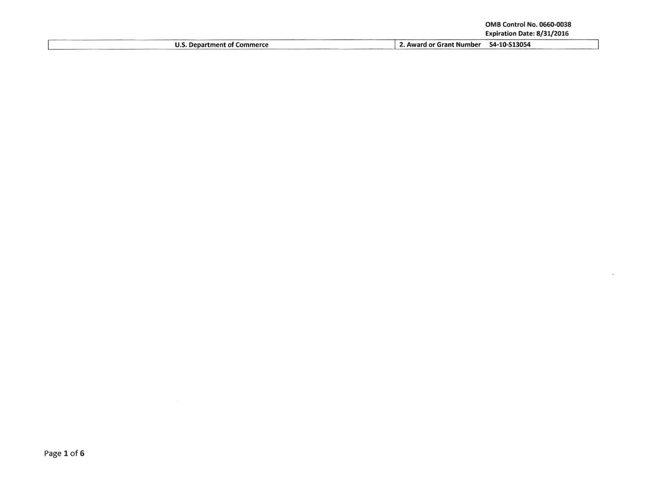| <b>OMB Control No. 0660-0038</b> |
|----------------------------------|
| Expiration Date: 8/31/2016       |

|                                    | Expiration Date: 8/31/2016               |
|------------------------------------|------------------------------------------|
| <b>U.S. Department of Commerce</b> | 54-10-S13054<br>2. Award or Grant Number |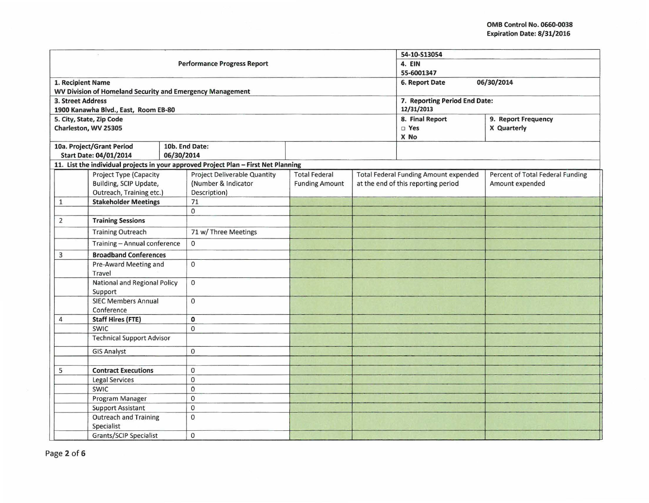|                                                                                |            |                                                                                     |                       |                | 54-10-S13054                                 |                                  |  |
|--------------------------------------------------------------------------------|------------|-------------------------------------------------------------------------------------|-----------------------|----------------|----------------------------------------------|----------------------------------|--|
| <b>Performance Progress Report</b>                                             |            |                                                                                     |                       |                | 4. EIN                                       |                                  |  |
|                                                                                |            |                                                                                     | 55-6001347            |                |                                              |                                  |  |
| 1. Recipient Name<br>WV Division of Homeland Security and Emergency Management |            |                                                                                     |                       | 6. Report Date | 06/30/2014                                   |                                  |  |
| 3. Street Address                                                              |            |                                                                                     |                       |                | 7. Reporting Period End Date:                |                                  |  |
| 1900 Kanawha Blvd., East, Room EB-80                                           |            |                                                                                     |                       |                | 12/31/2013                                   |                                  |  |
| 5. City, State, Zip Code                                                       |            |                                                                                     |                       |                | 8. Final Report                              | 9. Report Frequency              |  |
| Charleston, WV 25305                                                           |            |                                                                                     |                       |                | $\square$ Yes                                | X Quarterly                      |  |
|                                                                                |            |                                                                                     |                       |                | X No                                         |                                  |  |
| 10a. Project/Grant Period                                                      |            | 10b. End Date:                                                                      |                       |                |                                              |                                  |  |
| <b>Start Date: 04/01/2014</b>                                                  | 06/30/2014 |                                                                                     |                       |                |                                              |                                  |  |
|                                                                                |            | 11. List the individual projects in your approved Project Plan - First Net Planning |                       |                |                                              |                                  |  |
| Project Type (Capacity                                                         |            | <b>Project Deliverable Quantity</b>                                                 | <b>Total Federal</b>  |                | <b>Total Federal Funding Amount expended</b> | Percent of Total Federal Funding |  |
| Building, SCIP Update,                                                         |            | (Number & Indicator                                                                 | <b>Funding Amount</b> |                | at the end of this reporting period          | Amount expended                  |  |
| Outreach, Training etc.)                                                       |            | Description)                                                                        |                       |                |                                              |                                  |  |
| <b>Stakeholder Meetings</b><br>$\mathbf{1}$                                    |            | 71                                                                                  |                       |                |                                              |                                  |  |
|                                                                                |            | $\Omega$                                                                            |                       |                |                                              |                                  |  |
| <b>Training Sessions</b><br>2                                                  |            |                                                                                     |                       |                |                                              |                                  |  |
| <b>Training Outreach</b>                                                       |            | 71 w/ Three Meetings                                                                |                       |                |                                              |                                  |  |
| Training - Annual conference                                                   |            | $\mathbf{0}$                                                                        |                       |                |                                              |                                  |  |
| <b>Broadband Conferences</b><br>3                                              |            |                                                                                     |                       |                |                                              |                                  |  |
| Pre-Award Meeting and<br>Travel                                                |            | $\Omega$                                                                            |                       |                |                                              |                                  |  |
| National and Regional Policy<br>Support                                        |            | $\mathbf{0}$                                                                        |                       |                |                                              |                                  |  |
| <b>SIEC Members Annual</b><br>Conference                                       |            | $\Omega$                                                                            |                       |                |                                              |                                  |  |
| <b>Staff Hires (FTE)</b><br>4                                                  |            | 0                                                                                   |                       |                |                                              |                                  |  |
| <b>SWIC</b>                                                                    |            | $\mathbf{0}$                                                                        |                       |                |                                              |                                  |  |
| <b>Technical Support Advisor</b>                                               |            |                                                                                     |                       |                |                                              |                                  |  |
| <b>GIS Analyst</b>                                                             |            | $\Omega$                                                                            |                       |                |                                              |                                  |  |
|                                                                                |            |                                                                                     |                       |                |                                              |                                  |  |
| <b>Contract Executions</b><br>5                                                |            | $\mathbf 0$                                                                         |                       |                |                                              |                                  |  |
| <b>Legal Services</b>                                                          |            | $\mathbf 0$                                                                         |                       |                |                                              |                                  |  |
| <b>SWIC</b>                                                                    |            | $\Omega$                                                                            |                       |                |                                              |                                  |  |
| Program Manager                                                                |            | $\mathbf 0$                                                                         |                       |                |                                              |                                  |  |
| <b>Support Assistant</b>                                                       |            | $\mathbf 0$                                                                         |                       |                |                                              |                                  |  |
| <b>Outreach and Training</b><br>Specialist                                     |            | $\mathbf{0}$                                                                        |                       |                |                                              |                                  |  |
| <b>Grants/SCIP Specialist</b>                                                  |            | $\mathbf{0}$                                                                        |                       |                |                                              |                                  |  |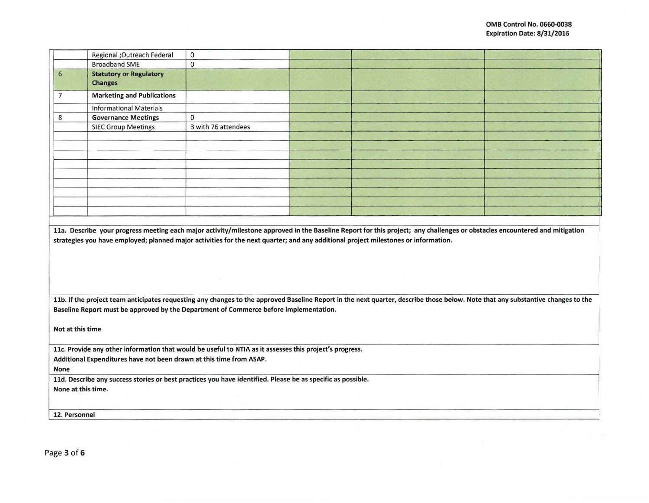|                                                                     | Regional ; Outreach Federal                                                                                                        | $\mathbf 0$         |  |                                                                                                                                                                                 |  |  |  |
|---------------------------------------------------------------------|------------------------------------------------------------------------------------------------------------------------------------|---------------------|--|---------------------------------------------------------------------------------------------------------------------------------------------------------------------------------|--|--|--|
|                                                                     | <b>Broadband SME</b>                                                                                                               | 0                   |  |                                                                                                                                                                                 |  |  |  |
| 6                                                                   | <b>Statutory or Regulatory</b>                                                                                                     |                     |  |                                                                                                                                                                                 |  |  |  |
|                                                                     | <b>Changes</b>                                                                                                                     |                     |  |                                                                                                                                                                                 |  |  |  |
| $\overline{7}$                                                      | <b>Marketing and Publications</b>                                                                                                  |                     |  |                                                                                                                                                                                 |  |  |  |
|                                                                     | <b>Informational Materials</b>                                                                                                     |                     |  |                                                                                                                                                                                 |  |  |  |
| 8                                                                   | <b>Governance Meetings</b>                                                                                                         | $\Omega$            |  |                                                                                                                                                                                 |  |  |  |
|                                                                     | <b>SIEC Group Meetings</b>                                                                                                         | 3 with 76 attendees |  |                                                                                                                                                                                 |  |  |  |
|                                                                     |                                                                                                                                    |                     |  |                                                                                                                                                                                 |  |  |  |
|                                                                     |                                                                                                                                    |                     |  |                                                                                                                                                                                 |  |  |  |
|                                                                     |                                                                                                                                    |                     |  |                                                                                                                                                                                 |  |  |  |
|                                                                     |                                                                                                                                    |                     |  |                                                                                                                                                                                 |  |  |  |
|                                                                     |                                                                                                                                    |                     |  |                                                                                                                                                                                 |  |  |  |
|                                                                     |                                                                                                                                    |                     |  |                                                                                                                                                                                 |  |  |  |
|                                                                     |                                                                                                                                    |                     |  |                                                                                                                                                                                 |  |  |  |
|                                                                     |                                                                                                                                    |                     |  |                                                                                                                                                                                 |  |  |  |
|                                                                     |                                                                                                                                    |                     |  |                                                                                                                                                                                 |  |  |  |
|                                                                     | strategies you have employed; planned major activities for the next quarter; and any additional project milestones or information. |                     |  |                                                                                                                                                                                 |  |  |  |
|                                                                     |                                                                                                                                    |                     |  | 11b. If the project team anticipates requesting any changes to the approved Baseline Report in the next quarter, describe those below. Note that any substantive changes to the |  |  |  |
|                                                                     | Baseline Report must be approved by the Department of Commerce before implementation.                                              |                     |  |                                                                                                                                                                                 |  |  |  |
| Not at this time                                                    |                                                                                                                                    |                     |  |                                                                                                                                                                                 |  |  |  |
|                                                                     | 11c. Provide any other information that would be useful to NTIA as it assesses this project's progress.                            |                     |  |                                                                                                                                                                                 |  |  |  |
| Additional Expenditures have not been drawn at this time from ASAP. |                                                                                                                                    |                     |  |                                                                                                                                                                                 |  |  |  |
| None                                                                |                                                                                                                                    |                     |  |                                                                                                                                                                                 |  |  |  |
|                                                                     | 11d. Describe any success stories or best practices you have identified. Please be as specific as possible.                        |                     |  |                                                                                                                                                                                 |  |  |  |
| None at this time.                                                  |                                                                                                                                    |                     |  |                                                                                                                                                                                 |  |  |  |
|                                                                     |                                                                                                                                    |                     |  |                                                                                                                                                                                 |  |  |  |
|                                                                     | 12. Personnel                                                                                                                      |                     |  |                                                                                                                                                                                 |  |  |  |
|                                                                     |                                                                                                                                    |                     |  |                                                                                                                                                                                 |  |  |  |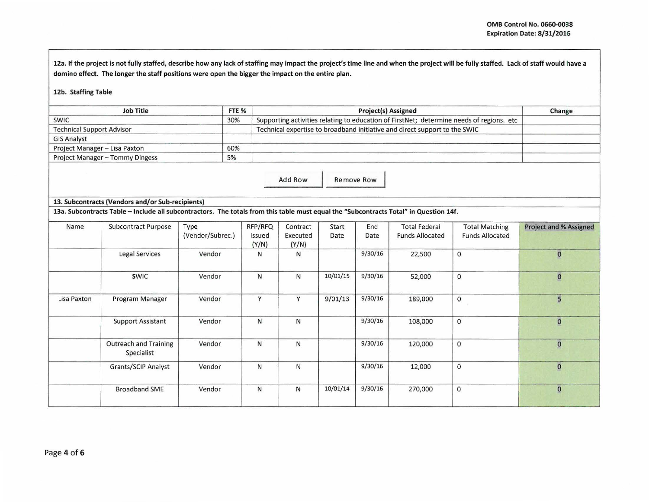12a. If the project is not fully staffed, describe how any lack of staffing may impact the project's time line and when the project will be fully staffed. Lack of staff would have a domino effect. The longer the staff positions were open the bigger the impact on the entire plan.

## 12b. Staffing Table

| <b>Job Title</b>                 | FTE <sub>%</sub> | <b>Project(s) Assigned</b>                                                               |  |  |  |  |
|----------------------------------|------------------|------------------------------------------------------------------------------------------|--|--|--|--|
| <b>SWIC</b>                      | 30%              | Supporting activities relating to education of FirstNet; determine needs of regions. etc |  |  |  |  |
| <b>Technical Support Advisor</b> |                  | Technical expertise to broadband initiative and direct support to the SWIC               |  |  |  |  |
| <b>GIS Analyst</b>               |                  |                                                                                          |  |  |  |  |
| Project Manager - Lisa Paxton    | 60%              |                                                                                          |  |  |  |  |
| Project Manager - Tommy Dingess  | 5%               |                                                                                          |  |  |  |  |

Add Row Remove Row

## 13. Subcontracts (Vendors and/or Sub-recipients)

13a. Subcontracts Table -Include all subcontractors. The totals from this table must equal the "Subcontracts Total" in Question 14f.

| Name        | <b>Subcontract Purpose</b>                 | Type<br>(Vendor/Subrec.) | RFP/RFQ<br>Issued<br>(Y/N) | Contract<br>Executed<br>(Y/N) | Start<br>Date | End<br>Date | <b>Total Federal</b><br><b>Funds Allocated</b> | <b>Total Matching</b><br><b>Funds Allocated</b> | Project and % Assigned |
|-------------|--------------------------------------------|--------------------------|----------------------------|-------------------------------|---------------|-------------|------------------------------------------------|-------------------------------------------------|------------------------|
|             | Legal Services                             | Vendor                   | N                          | Ν                             |               | 9/30/16     | 22,500                                         | $\mathbf 0$                                     | $\mathbf{O}$           |
|             | <b>SWIC</b>                                | Vendor                   | N                          | N                             | 10/01/15      | 9/30/16     | 52,000                                         | $\mathbf 0$                                     | $\mathbf{o}$           |
| Lisa Paxton | Program Manager                            | Vendor                   | Y                          | Y                             | 9/01/13       | 9/30/16     | 189,000                                        | 0                                               | 5                      |
|             | <b>Support Assistant</b>                   | Vendor                   | N                          | N                             |               | 9/30/16     | 108,000                                        | 0                                               | $\circ$                |
|             | <b>Outreach and Training</b><br>Specialist | Vendor                   | N                          | N                             |               | 9/30/16     | 120,000                                        | $\mathbf 0$                                     | $\mathbf{0}$           |
|             | <b>Grants/SCIP Analyst</b>                 | Vendor                   | $\mathsf{N}$               | N                             |               | 9/30/16     | 12,000                                         | $\mathbf 0$                                     | $\mathbf{O}$           |
|             | <b>Broadband SME</b>                       | Vendor                   | N                          | $\mathsf{N}$                  | 10/01/14      | 9/30/16     | 270,000                                        | 0                                               | $\pmb{0}$              |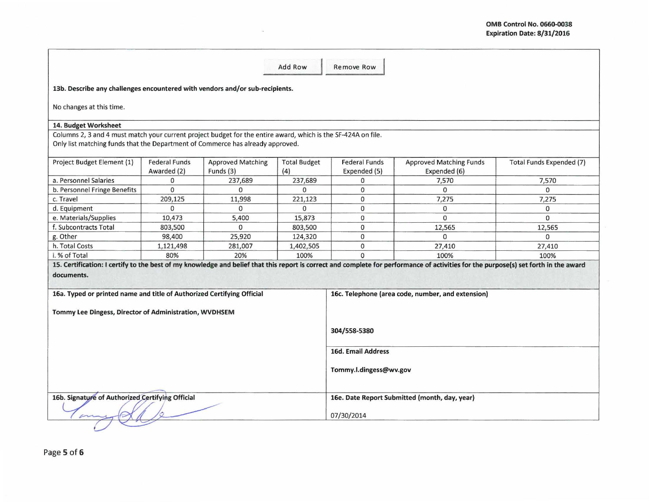|                                                                                                                                                                                                 |                                     |                                       | <b>Add Row</b>             | <b>Remove Row</b>                    |                                                                                                                                                                                      |                          |
|-------------------------------------------------------------------------------------------------------------------------------------------------------------------------------------------------|-------------------------------------|---------------------------------------|----------------------------|--------------------------------------|--------------------------------------------------------------------------------------------------------------------------------------------------------------------------------------|--------------------------|
|                                                                                                                                                                                                 |                                     |                                       |                            |                                      |                                                                                                                                                                                      |                          |
| 13b. Describe any challenges encountered with vendors and/or sub-recipients.                                                                                                                    |                                     |                                       |                            |                                      |                                                                                                                                                                                      |                          |
| No changes at this time.                                                                                                                                                                        |                                     |                                       |                            |                                      |                                                                                                                                                                                      |                          |
| 14. Budget Worksheet                                                                                                                                                                            |                                     |                                       |                            |                                      |                                                                                                                                                                                      |                          |
| Columns 2, 3 and 4 must match your current project budget for the entire award, which is the SF-424A on file.<br>Only list matching funds that the Department of Commerce has already approved. |                                     |                                       |                            |                                      |                                                                                                                                                                                      |                          |
| Project Budget Element (1)                                                                                                                                                                      | <b>Federal Funds</b><br>Awarded (2) | <b>Approved Matching</b><br>Funds (3) | <b>Total Budget</b><br>(4) | <b>Federal Funds</b><br>Expended (5) | <b>Approved Matching Funds</b><br>Expended (6)                                                                                                                                       | Total Funds Expended (7) |
| a. Personnel Salaries                                                                                                                                                                           | 0                                   | 237,689                               | 237,689                    | 0                                    | 7,570                                                                                                                                                                                | 7,570                    |
| b. Personnel Fringe Benefits                                                                                                                                                                    | $\Omega$                            | $\Omega$                              | $\Omega$                   | $\mathbf 0$                          | $\Omega$                                                                                                                                                                             | $\Omega$                 |
| c. Travel                                                                                                                                                                                       | 209,125                             | 11,998                                | 221,123                    | $\mathbf{O}$                         | 7,275                                                                                                                                                                                | 7,275                    |
| d. Equipment                                                                                                                                                                                    | $\Omega$                            | $\Omega$                              | $\Omega$                   | 0                                    | 0                                                                                                                                                                                    | $\Omega$                 |
| e. Materials/Supplies                                                                                                                                                                           | 10,473                              | 5,400                                 | 15,873                     | $\mathbf 0$                          | $\Omega$                                                                                                                                                                             | $\Omega$                 |
| f. Subcontracts Total                                                                                                                                                                           | 803,500                             | $\mathbf 0$                           | 803,500                    | $\mathbf 0$                          | 12,565                                                                                                                                                                               | 12,565                   |
| g. Other                                                                                                                                                                                        | 98,400                              | 25,920                                | 124,320                    | $\mathbf 0$                          | $\Omega$                                                                                                                                                                             | $\Omega$                 |
| h. Total Costs                                                                                                                                                                                  | 1,121,498                           | 281,007                               | 1,402,505                  | $\mathbf 0$                          | 27,410                                                                                                                                                                               | 27,410                   |
| i. % of Total                                                                                                                                                                                   | 80%                                 | 20%                                   | 100%                       | $\Omega$                             | 100%                                                                                                                                                                                 | 100%                     |
|                                                                                                                                                                                                 |                                     |                                       |                            |                                      | 15. Certification: I certify to the best of my knowledge and belief that this report is correct and complete for performance of activities for the purpose(s) set forth in the award |                          |
| documents.                                                                                                                                                                                      |                                     |                                       |                            |                                      |                                                                                                                                                                                      |                          |
|                                                                                                                                                                                                 |                                     |                                       |                            |                                      |                                                                                                                                                                                      |                          |
| 16a. Typed or printed name and title of Authorized Certifying Official                                                                                                                          |                                     |                                       |                            |                                      | 16c. Telephone (area code, number, and extension)                                                                                                                                    |                          |
| Tommy Lee Dingess, Director of Administration, WVDHSEM                                                                                                                                          |                                     |                                       |                            |                                      |                                                                                                                                                                                      |                          |
|                                                                                                                                                                                                 |                                     |                                       |                            | 304/558-5380                         |                                                                                                                                                                                      |                          |
|                                                                                                                                                                                                 |                                     |                                       |                            | <b>16d. Email Address</b>            |                                                                                                                                                                                      |                          |
|                                                                                                                                                                                                 |                                     |                                       |                            | Tommy.l.dingess@wv.gov               |                                                                                                                                                                                      |                          |
| 16b. Signature of Authorized Certifying Official                                                                                                                                                |                                     |                                       |                            | 07/30/2014                           | 16e. Date Report Submitted (month, day, year)                                                                                                                                        |                          |
|                                                                                                                                                                                                 |                                     |                                       |                            |                                      |                                                                                                                                                                                      |                          |

 $\sim$ 

Page 5 of 6